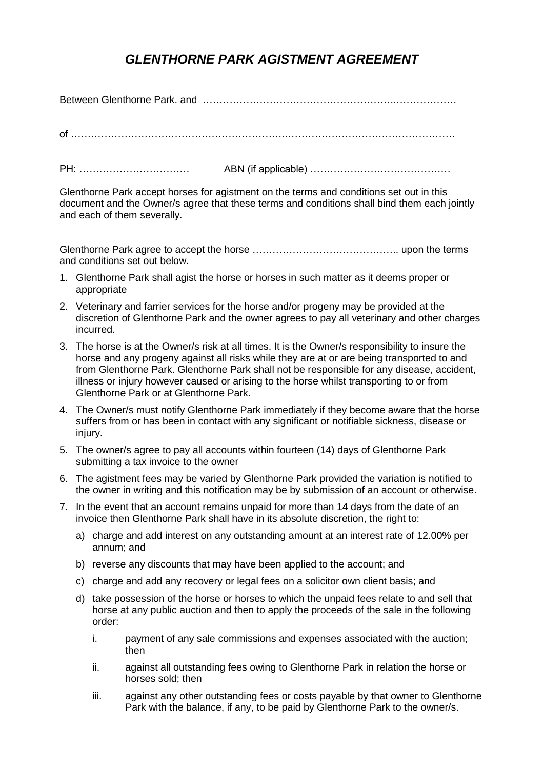## *GLENTHORNE PARK AGISTMENT AGREEMENT*

Between Glenthorne Park. and ………………………………………………….………………

of ……………………………………………………….……………………………………………

PH: …………………………… ABN (if applicable) ……………………………………

Glenthorne Park accept horses for agistment on the terms and conditions set out in this document and the Owner/s agree that these terms and conditions shall bind them each jointly and each of them severally.

Glenthorne Park agree to accept the horse …………………………………….. upon the terms and conditions set out below.

- 1. Glenthorne Park shall agist the horse or horses in such matter as it deems proper or appropriate
- 2. Veterinary and farrier services for the horse and/or progeny may be provided at the discretion of Glenthorne Park and the owner agrees to pay all veterinary and other charges incurred.
- 3. The horse is at the Owner/s risk at all times. It is the Owner/s responsibility to insure the horse and any progeny against all risks while they are at or are being transported to and from Glenthorne Park. Glenthorne Park shall not be responsible for any disease, accident, illness or injury however caused or arising to the horse whilst transporting to or from Glenthorne Park or at Glenthorne Park.
- 4. The Owner/s must notify Glenthorne Park immediately if they become aware that the horse suffers from or has been in contact with any significant or notifiable sickness, disease or injury.
- 5. The owner/s agree to pay all accounts within fourteen (14) days of Glenthorne Park submitting a tax invoice to the owner
- 6. The agistment fees may be varied by Glenthorne Park provided the variation is notified to the owner in writing and this notification may be by submission of an account or otherwise.
- 7. In the event that an account remains unpaid for more than 14 days from the date of an invoice then Glenthorne Park shall have in its absolute discretion, the right to:
	- a) charge and add interest on any outstanding amount at an interest rate of 12.00% per annum; and
	- b) reverse any discounts that may have been applied to the account; and
	- c) charge and add any recovery or legal fees on a solicitor own client basis; and
	- d) take possession of the horse or horses to which the unpaid fees relate to and sell that horse at any public auction and then to apply the proceeds of the sale in the following order:
		- i. payment of any sale commissions and expenses associated with the auction; then
		- ii. against all outstanding fees owing to Glenthorne Park in relation the horse or horses sold; then
		- iii. against any other outstanding fees or costs payable by that owner to Glenthorne Park with the balance, if any, to be paid by Glenthorne Park to the owner/s.